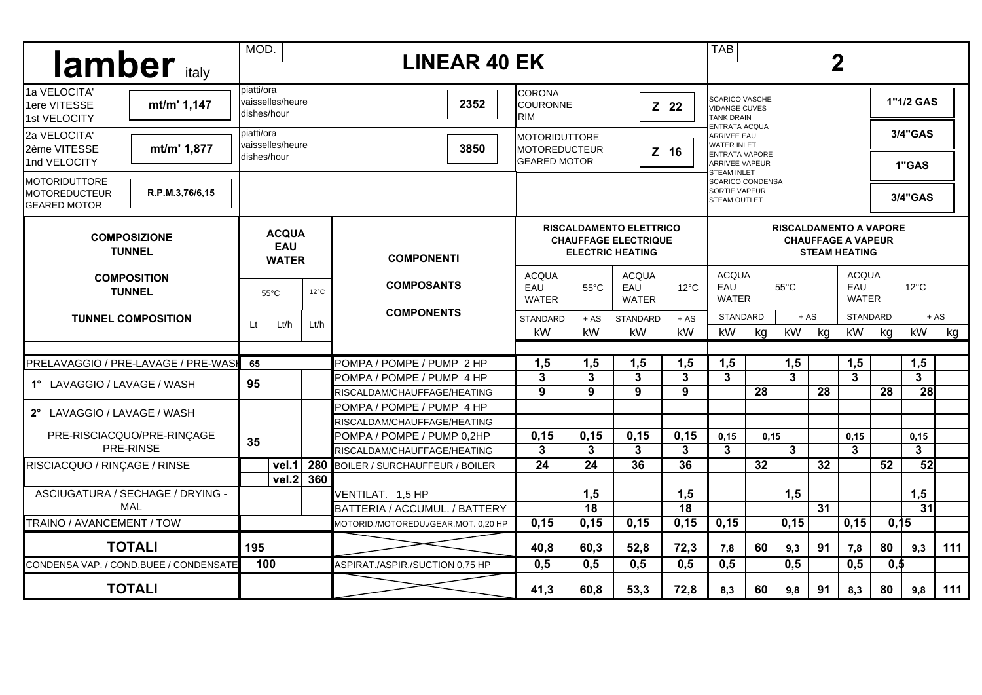| lamber italy                                                                              |            | MOD.<br><b>LINEAR 40 EK</b>                |      |                                       |                                                                                          |                                                                                                             |                  |                                                                    |                                                       | <b>TAB</b><br>$\overline{2}$                                                                 |                  |                 |                                     |                            |                 |     |
|-------------------------------------------------------------------------------------------|------------|--------------------------------------------|------|---------------------------------------|------------------------------------------------------------------------------------------|-------------------------------------------------------------------------------------------------------------|------------------|--------------------------------------------------------------------|-------------------------------------------------------|----------------------------------------------------------------------------------------------|------------------|-----------------|-------------------------------------|----------------------------|-----------------|-----|
| 1a VELOCITA'<br>1ere VITESSE<br>mt/m' 1,147<br>1st VELOCITY                               | piatti/ora | vaisselles/heure<br>dishes/hour            |      | 2352                                  | ICORONA<br>COURONNE<br>Z 22<br>IRIM                                                      |                                                                                                             |                  | <b>SCARICO VASCHE</b><br><b>VIDANGE CUVES</b><br><b>TANK DRAIN</b> |                                                       |                                                                                              |                  |                 | 1"1/2 GAS                           |                            |                 |     |
| 2a VELOCITA'<br>mt/m' 1,877<br>2ème VITESSE<br>1nd VELOCITY                               | piatti/ora | vaisselles/heure<br>dishes/hour            |      | 3850                                  | <b>MOTORIDUTTORE</b><br><b>MOTOREDUCTEUR</b><br><b>GEARED MOTOR</b>                      | ENTRATA ACQUA<br><b>ARRIVEE EAU</b><br><b>WATER INLET</b><br><b>ENTRATA VAPORE</b><br><b>ARRIVEE VAPEUR</b> |                  |                                                                    |                                                       |                                                                                              | 3/4"GAS<br>1"GAS |                 |                                     |                            |                 |     |
| <b>IMOTORIDUTTORE</b><br>R.P.M.3,76/6,15<br><b>MOTOREDUCTEUR</b><br><b>I</b> GEARED MOTOR |            |                                            |      |                                       |                                                                                          |                                                                                                             |                  |                                                                    |                                                       | <b>STEAM INLET</b><br><b>SCARICO CONDENSA</b><br><b>SORTIE VAPEUR</b><br><b>STEAM OUTLET</b> |                  |                 |                                     | 3/4"GAS                    |                 |     |
| <b>COMPOSIZIONE</b><br><b>TUNNEL</b>                                                      |            | <b>ACQUA</b><br><b>EAU</b><br><b>WATER</b> |      | <b>COMPONENTI</b>                     | <b>RISCALDAMENTO ELETTRICO</b><br><b>CHAUFFAGE ELECTRIQUE</b><br><b>ELECTRIC HEATING</b> | <b>RISCALDAMENTO A VAPORE</b><br><b>CHAUFFAGE A VAPEUR</b><br><b>STEAM HEATING</b>                          |                  |                                                                    |                                                       |                                                                                              |                  |                 |                                     |                            |                 |     |
| <b>COMPOSITION</b><br><b>TUNNEL</b><br><b>TUNNEL COMPOSITION</b>                          |            | $12^{\circ}$ C<br>$55^{\circ}$ C           |      | <b>COMPOSANTS</b>                     | <b>ACQUA</b><br>EAU<br><b>WATER</b>                                                      | <b>ACQUA</b><br>$12^{\circ}$ C<br>$55^{\circ}$ C<br>EAU<br><b>WATER</b>                                     |                  |                                                                    | <b>ACQUA</b><br>EAU<br>$55^{\circ}$ C<br><b>WATER</b> |                                                                                              |                  |                 | <b>ACQUA</b><br>EAU<br><b>WATER</b> | $12^{\circ}$ C             |                 |     |
|                                                                                           |            | Lt/h                                       | Lt/h | <b>COMPONENTS</b>                     | <b>STANDARD</b><br>kW                                                                    | $+AS$<br>kW                                                                                                 | STANDARD<br>kW   | $+ AS$<br>kW                                                       | <b>STANDARD</b><br>kW                                 | kg                                                                                           | $+ AS$<br>kW     | kg              | <b>STANDARD</b><br>kW               | kg                         | $+ AS$<br>kW    | kg  |
| PRELAVAGGIO / PRE-LAVAGE / PRE-WASH                                                       |            |                                            |      | POMPA / POMPE / PUMP 2 HP             | 1,5                                                                                      | 1,5                                                                                                         | 1,5              | 1,5                                                                | 1,5                                                   |                                                                                              | 1,5              |                 | 1,5                                 |                            | 1,5             |     |
| 1° LAVAGGIO / LAVAGE / WASH                                                               |            |                                            |      | POMPA / POMPE / PUMP_4 HP             | 3                                                                                        | 3                                                                                                           | 3                | $\mathbf{3}$                                                       | 3                                                     |                                                                                              | 3                |                 | $\mathbf{3}$                        |                            | 3 <sup>1</sup>  |     |
|                                                                                           |            |                                            |      | RISCALDAM/CHAUFFAGE/HEATING           | 9                                                                                        | 9                                                                                                           | 9                | 9                                                                  |                                                       | 28                                                                                           |                  | 28              |                                     | 28                         | 28              |     |
| 2° LAVAGGIO / LAVAGE / WASH                                                               |            |                                            |      | POMPA / POMPE / PUMP 4 HP             |                                                                                          |                                                                                                             |                  |                                                                    |                                                       |                                                                                              |                  |                 |                                     |                            |                 |     |
|                                                                                           |            |                                            |      | RISCALDAM/CHAUFFAGE/HEATING           |                                                                                          |                                                                                                             |                  |                                                                    |                                                       |                                                                                              |                  |                 |                                     |                            |                 |     |
| PRE-RISCIACQUO/PRE-RINÇAGE<br>PRE-RINSE                                                   |            |                                            |      | POMPA / POMPE / PUMP 0,2HP            | 0, 15                                                                                    | 0, 15                                                                                                       | 0,15             | 0,15                                                               | 0,15                                                  | 0,15                                                                                         |                  |                 | 0, 15                               |                            | 0,15            |     |
|                                                                                           |            |                                            |      | RISCALDAM/CHAUFFAGE/HEATING           | 3                                                                                        | 3                                                                                                           | 3                | 3                                                                  | $\mathbf{3}$                                          |                                                                                              | 3                |                 | 3                                   |                            | 3               |     |
| RISCIACQUO / RINÇAGE / RINSE                                                              |            | vel.1                                      | 280  | <b>BOILER / SURCHAUFFEUR / BOILER</b> | 24                                                                                       | 24                                                                                                          | 36               | 36                                                                 |                                                       | 32                                                                                           |                  | 32              |                                     | 52                         | 52              |     |
|                                                                                           |            | vel.2                                      | 360  |                                       |                                                                                          |                                                                                                             |                  |                                                                    |                                                       |                                                                                              |                  |                 |                                     |                            |                 |     |
| ASCIUGATURA / SECHAGE / DRYING -                                                          |            |                                            |      | VENTILAT. 1,5 HP                      |                                                                                          | 1,5                                                                                                         |                  | 1,5                                                                |                                                       |                                                                                              | 1,5              |                 |                                     |                            | 1,5             |     |
| MAL                                                                                       |            |                                            |      | BATTERIA / ACCUMUL. / BATTERY         |                                                                                          | $\overline{18}$                                                                                             |                  | $\overline{18}$                                                    |                                                       |                                                                                              |                  | $\overline{31}$ |                                     |                            | $\overline{31}$ |     |
| TRAINO / AVANCEMENT / TOW                                                                 |            |                                            |      | MOTORID./MOTOREDU./GEAR.MOT. 0,20 HP  | 0,15                                                                                     | 0,15                                                                                                        | 0,15             | 0,15                                                               | 0, 15                                                 |                                                                                              | 0,15             |                 | 0,15                                | 0,15                       |                 |     |
| <b>TOTALI</b>                                                                             | 195        |                                            |      |                                       | 40,8                                                                                     | 60,3                                                                                                        | 52,8             | 72,3                                                               | 7,8                                                   | 60                                                                                           | 9,3              | 91              | 7,8                                 | 80                         | 9.3             | 111 |
| CONDENSA VAP. / COND.BUEE / CONDENSATE                                                    |            | 100                                        |      | ASPIRAT./ASPIR./SUCTION 0.75 HP       | $\overline{0,5}$                                                                         | $\overline{0,5}$                                                                                            | $\overline{0,5}$ | $\overline{0,5}$                                                   | 0,5                                                   |                                                                                              | 0,5              |                 | 0,5                                 | $\overline{\mathbf{0}},$ 5 |                 |     |
| <b>TOTALI</b>                                                                             |            |                                            |      |                                       | 41,3                                                                                     | 60,8                                                                                                        | 53,3             | 72,8                                                               | 8,3                                                   | 60                                                                                           | 9,8              | 91              | 8,3                                 | 80                         | 9,8             | 111 |